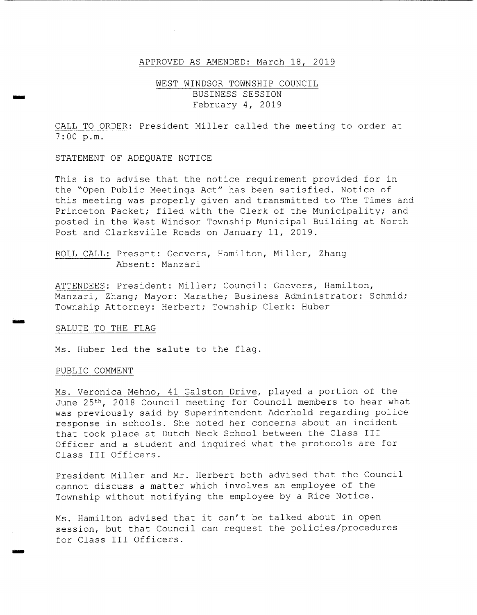#### APPROVED AS AMENDED: March 18, 2019

### WEST WINDSOR TOWNSHIP COUNCIL BUSINESS SESSION February 4, 2019

CALL TO ORDER: President Miller called the meeting to order at 7 : 00 p. m.

#### STATEMENT OF ADEQUATE NOTICE

This is to advise that the notice requirement provided for in the "Open Public Meetings Act" has been satisfied. Notice of this meeting was properly given and transmitted to The Times and Princeton Packet; filed with the Clerk of the Municipality; and posted in the West Windsor Township Municipal Building at North Post and Clarksville Roads on January 11, 2019.

ROLL CALL: Present: Geevers, Hamilton, Miller, Zhang Absent: Manzari

ATTENDEES: President: Miller; Council: Geevers, Hamilton, Manzari, Zhang; Mayor: Marathe; Business Administrator: Schmid; Township Attorney: Herbert; Township Clerk: Huber

#### SALUTE TO THE FLAG

Ms. Huber led the salute to the flag.

#### PUBLIC COMMENT

OMB

mime

Ms. Veronica Mehno, 41 Galston Drive, played a portion of the June 25th, 2018 Council meeting for Council members to hear what was previously said by Superintendent Aderhold regarding police response in schools. She noted her concerns about an incident that took place at Dutch Neck School between the Class III Officer and <sup>a</sup> student and inquired what the protocols are for Class III Officers .

President Miller and Mr. Herbert both advised that the Council cannot discuss <sup>a</sup> matter which involves an employee of the Township without notifying the employee by <sup>a</sup> Rice Notice.

Ms. Hamilton advised that it can't be talked about in open session, but that Council can request the policies/procedures for Class III Officers .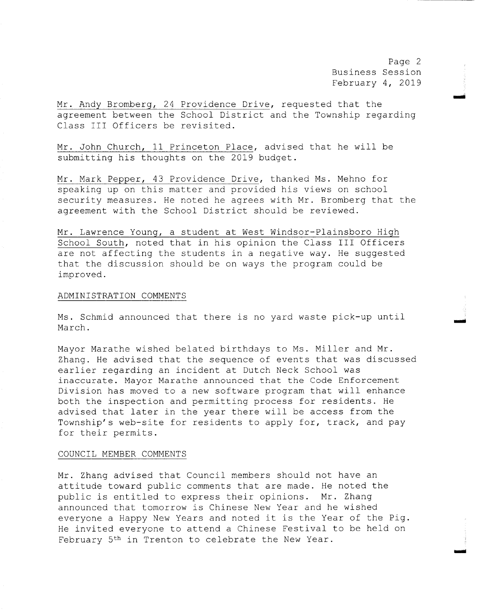Page 2 Business Session February 4, 2019

mai

Mr. Andy Bromberg, <sup>24</sup> Providence Drive, requested that the agreement between the School District and the Township regarding Class III Officers be revisited.

Mr. John Church, 11 Princeton Place, advised that he will be submitting his thoughts on the 2019 budget .

Mr. Mark Pepper, 43 Providence Drive, thanked Ms. Mehno for speaking up on this matter and provided his views on school security measures . He noted he agrees with Mr. Bromberg that the agreement with the School District should be reviewed.

Mr. Lawrence Young, a student at West Windsor-Plainsboro High School South, noted that in his opinion the Class III Officers are not affecting the students in <sup>a</sup> negative way. He suggested that the discussion should be on ways the program could be improved.

#### ADMINISTRATION COMMENTS

Ms. Schmid announced that there is no yard waste pick-up until March.

Mayor Marathe wished belated birthdays to Ms. Miller and Mr. Zhang. He advised that the sequence of events that was discussed earlier regarding an incident at Dutch Neck School was inaccurate. Mayor Marathe announced that the Code Enforcement Division has moved to <sup>a</sup> new software program that will enhance both the inspection and permitting process for residents. He advised that later in the year there will be access from the Township's web-site for residents to apply for, track, and pay for their permits .

#### COUNCIL MEMBER COMMENTS

Mr. Zhang advised that Council members should not have an attitude toward public comments that are made . He noted the public is entitled to express their opinions. Mr. Zhang announced that tomorrow is Chinese New Year and he wished everyone <sup>a</sup> Happy New Years and noted it is the Year of the Pig. He invited everyone to attend <sup>a</sup> Chinese Festival to be held on February 5<sup>th</sup> in Trenton to celebrate the New Year.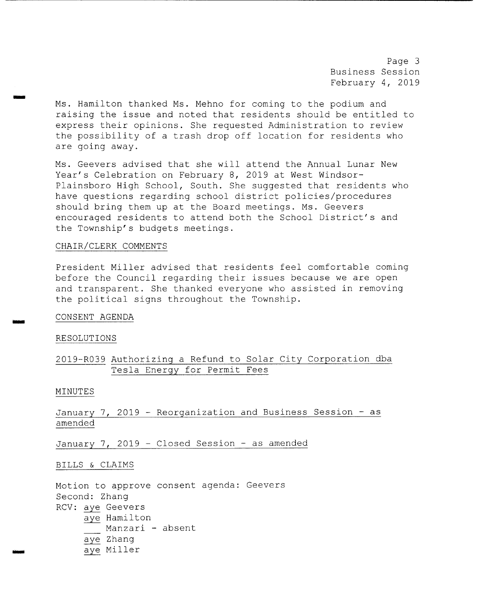Page 3 Business Session February 4, 2019

Ms. Hamilton thanked Ms. Mehno for coming to the podium and raising the issue and noted that residents should be entitled to express their opinions. She requested Administration to review the possibility of <sup>a</sup> trash drop off location for residents who are going away.

Ms . Geevers advised that she will attend the Annual Lunar New Year' <sup>s</sup> Celebration on February 8, 2019 at West Windsor-Plainsboro High School, South. She suggested that residents who have questions regarding school district policies/ procedures should bring them up at the Board meetings. Ms. Geevers encouraged residents to attend both the School District's and the Township's budgets meetings.

#### CHAIR/ CLERK COMMENTS

President Miller advised that residents feel comfortable coming before the Council regarding their issues because we are open and transparent. She thanked everyone who assisted in removing the political signs throughout the Township.

CONSENT AGENDA

#### RESOLUTIONS

OEM

### 2019- R039 Authorizing <sup>a</sup> Refund to Solar City Corporation dba Tesla Energy for Permit Fees

#### MINUTES

January 7, 2019 - Reorganization and Business Session - as amended

January 7, 2019 - Closed Session - as amended

#### BILLS & CLAIMS

Motion to approve consent agenda: Geevers Second: Zhang RCV: aye Geevers aye Hamilton Manzari - absent aye Zhang aye Miller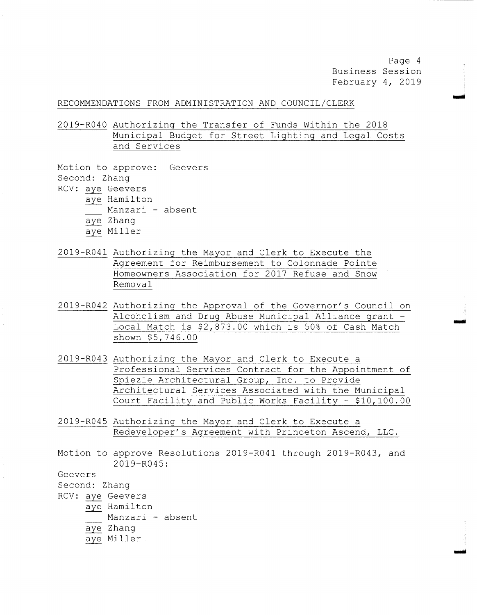Page <sup>4</sup> Business Session February 4, 2019

mai

mod

#### RECOMMENDATIONS FROM ADMINISTRATION AND COUNCIL/CLERK

2019- R040 Authorizing the Transfer of Funds Within the 2018 Municipal Budget for Street Lighting and Legal Costs and Services

Motion to approve: Geevers Second: Zhang RCV: aye Geevers aye Hamilton Manzari - absent aye Zhang aye Miller

- 2019- R041 Authorizing the Mayor and Clerk to Execute the Agreement for Reimbursement to Colonnade Pointe Homeowners Association for <sup>2017</sup> Refuse and Snow Removal
- 2019- R042 Authorizing the Approval of the Governor' s Council on Alcoholism and Drug Abuse Municipal Alliance grant -Local Match is \$2,873.00 which is 50% of Cash Match shown \$5,746.00
- 2019- R043 Authorizing the Mayor and Clerk to Execute <sup>a</sup> Professional Services Contract for the Appointment of Spiezle Architectural Group, Inc. to Provide Architectural Services Associated with the Municipal Court Facility and Public Works Facility - \$10, 100 . 00
- 2019- R045 Authorizing the Mayor and Clerk to Execute <sup>a</sup> Redeveloper's Agreement with Princeton Ascend, LLC.

Motion to approve Resolutions 2019-R041 through 2019-R043, and  $2019 - R045:$ 

Geevers

Second: Zhang

RCV: aye Geevers aye Hamilton Manzari - absent aye Zhang aye Miller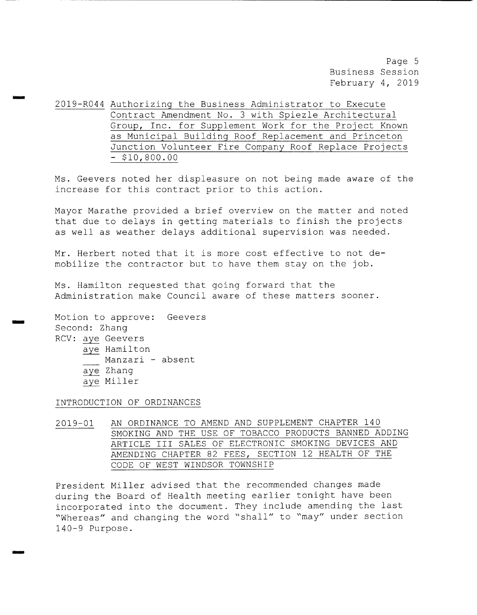Page 5 Business Session February 4, 2019

2019- R044 Authorizing the Business Administrator to Execute Contract Amendment No. <sup>3</sup> with Spiezle Architectural Group, Inc. for Supplement Work for the Project Known as Municipal Building Roof Replacement and Princeton Junction Volunteer Fire Company Roof Replace Projects  $-$  \$10,800.00

Ms . Geevers noted her displeasure on not being made aware of the increase for this contract prior to this action.

Mayor Marathe provided <sup>a</sup> brief overview on the matter and noted that due to delays in getting materials to finish the projects as well as weather delays additional supervision was needed.

Mr. Herbert noted that it is more cost effective to not demobilize the contractor but to have them stay on the job.

Ms . Hamilton requested that going forward that the Administration make Council aware of these matters sooner .

Motion to approve: Geevers Second: Zhang RCV: aye Geevers aye Hamilton Manzari - absent aye Zhang aye Miller

mom

<u>rm</u>

INTRODUCTION OF ORDINANCES

2019-01 AN ORDINANCE TO AMEND AND SUPPLEMENT CHAPTER 140 SMOKING AND THE USE OF TOBACCO PRODUCTS BANNED ADDING ARTICLE III SALES OF ELECTRONIC SMOKING DEVICES AND AMENDING CHAPTER 82 FEES, SECTION 12 HEALTH OF THE CODE OF WEST WINDSOR TOWNSHIP

President Miller advised that the recommended changes made during the Board of Health meeting earlier tonight have been incorporated into the document. They include amending the last "Whereas" and changing the word "shall" to "may" under section 140-9 Purpose.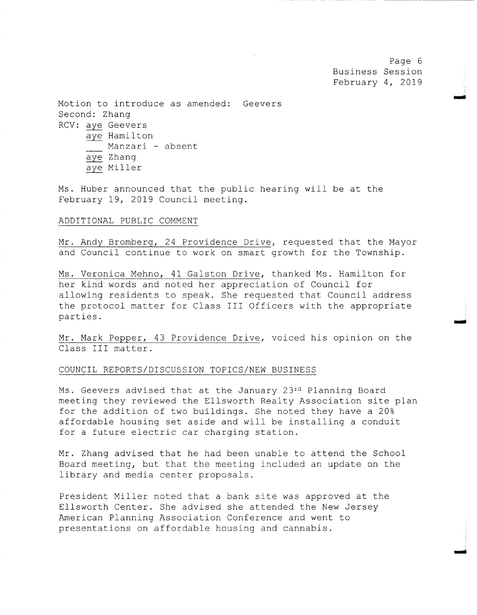Page 6 Business Session February 4, 2019

mai

mei

Motion to introduce as amended: Geevers Second: Zhang RCV: aye Geevers aye Hamilton Manzari - absent aye Zhang aye Miller

Ms. Huber announced that the public hearing will be at the February 19, 2019 Council meeting.

#### ADDITIONAL PUBLIC COMMENT

Mr. Andy Bromberg, <sup>24</sup> Providence Drive, requested that the Mayor and Council continue to work on smart growth for the Township.

Ms. Veronica Mehno, 41 Galston Drive, thanked Ms. Hamilton for her kind words and noted her appreciation of Council for allowing residents to speak. She requested that Council address the protocol matter for Class III Officers with the appropriate parties .

Mr. Mark Pepper, <sup>43</sup> Providence Drive, voiced his opinion on the Class III matter.

#### COUNCIL REPORTS/ DISCUSSION TOPICS/ NEW BUSINESS

Ms. Geevers advised that at the January 23rd Planning Board meeting they reviewed the Ellsworth Realty Association site plan for the addition of two buildings. She noted they have a 20% affordable housing set aside and will be installing <sup>a</sup> conduit for <sup>a</sup> future electric car charging station.

Mr. Zhang advised that he had been unable to attend the School Board meeting, but that the meeting included an update on the library and media center proposals .

President Miller noted that <sup>a</sup> bank site was approved at the Ellsworth Center. She advised she attended the New Jersey American Planning Association Conference and went to presentations on affordable housing and cannabis .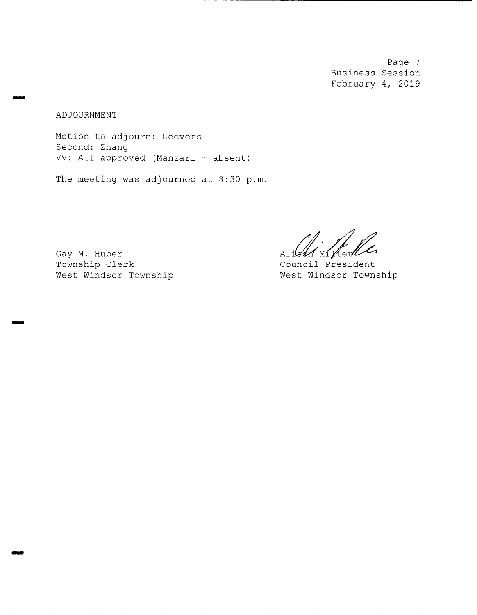Page <sup>7</sup> Business Session February 4, 2019

ADJOURNMENT

Motion to adjourn: Geevers Second: Zhang VV: All approved (Manzari - absent)

The meeting was adjourned at 8:30 p.m.

Gay M. Huber<br>Township Clerk Council President West Windsor Township

orrr

rrrr

Township Clerk Council President<br>
West Windsor Township Council President<br>
West Windsor Township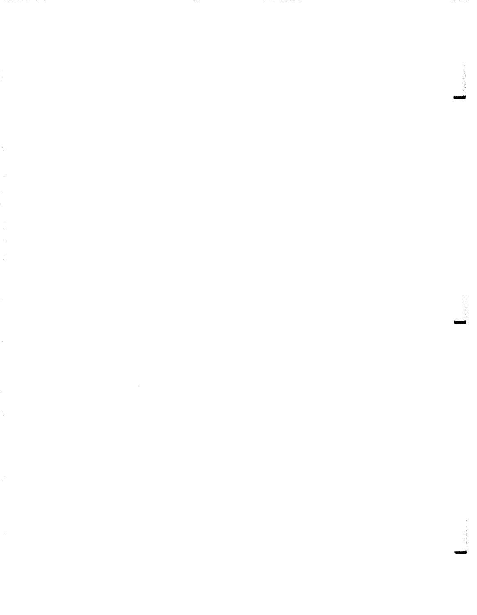tan (

wr

rurli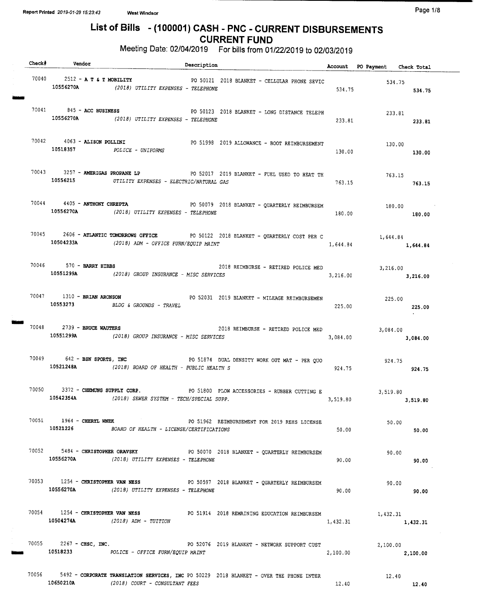Meeting Date: 02/04/2019 For bills from 01/22/2019 to 02/03/2019

| Check# | Vendor    |                                    | <b>Description</b>                                                            |                                                                                         |          | Account PO Payment Check Total |          |
|--------|-----------|------------------------------------|-------------------------------------------------------------------------------|-----------------------------------------------------------------------------------------|----------|--------------------------------|----------|
|        |           |                                    | 10556270A (2018) UTILITY EXPENSES - TELEPHONE                                 | 70040 2512 - A T & T MOBILITY PO 50121 2018 BLANKET - CELLULAR PHONE SEVIC              | 534.75   | 534.75                         | 534.75   |
|        |           |                                    | 10556270A (2018) UTILITY EXPENSES - TELEPHONE                                 | 70041 845 - ACC BUSINESS PO 50123 2018 BLANKET - LONG DISTANCE TELEPH                   | 233.81   | 233.81<br>233.81               |          |
|        |           | 10518357 POLICE - UNIFORMS         |                                                                               | 70042 4063 - ALISON POLLINI PO 51998 2019 ALLOWANCE - BOOT REIMBURSEMENT                | 130.00   | 130.00<br>130.00               |          |
|        |           |                                    | 10556215 UTILITY EXPENSES - ELECTRIC/NATURAL GAS                              | 70043 3257 - AMERIGAS PROPANE LP PO 52017 2019 BLANKET - FUEL USED TO HEAT TH           | 763.15   | 763.15<br>763.15               |          |
|        |           |                                    | 10556270A (2018) UTILITY EXPENSES - TELEPHONE                                 | 70044 4405 - ANTHONY CHREPTA PO 50079 2018 BLANKET - QUARTERLY REIMBURSEM 180.00        | 180.00   | 180.00                         |          |
|        |           |                                    | 10504233A $(2018)$ ADM - OFFICE FURN/EQUIP MAINT                              | 70045 2606 - ATLANTIC TOMORROWS OFFICE PO 50122 2018 BLANKET - QUARTERLY COST PER C     | 1,644.84 | 1,644.84                       | 1,644.84 |
|        |           | 70046 570 - BARRY HIBBS            | 10551299A (2018) GROUP INSURANCE - MISC SERVICES                              | 2018 REIMBURSE - RETIRED POLICE MED                                                     | 3,216.00 | 3,216.00                       | 3,216.00 |
|        |           | $10553273$ BLDG & GROUNDS - TRAVEL |                                                                               | 70047 1310 - BRIAN ARONSON PO 52031 2019 BLANKET - MILEAGE REIMBURSEMEN                 | 225.00   | 225.00<br>225.00               |          |
|        |           | 70048 2739 - BRUCE WAUTERS         | 10551299A (2018) GROUP INSURANCE - MISC SERVICES                              | 2018 REIMBURSE - RETIRED POLICE MED<br>3,084.00<br>3,084.00<br>3,084.00                 |          |                                |          |
|        |           |                                    | 10521248A (2018) BOARD OF HEALTH - PUBLIC HEALTH S                            | 70049 642 - BSN SPORTS, INC 2008 2009 201874 DUAL DENSITY WORK OUT MAT - PER QUO        | 924.75   | 924.75<br>924.75               |          |
|        |           |                                    | 10542354A (2018) SEWER SYSTEM - TECH/SPECIAL SUPP.                            | 70050 3372 - CHEMUNG SUPPLY CORP. PO 51800 PLOW ACCESSORIES - RUBBER CUTTING E 3,519.80 |          | 3,519.80 3,519.80              |          |
|        |           |                                    | 70051 1964 - CHERYL WNER<br>10521226 BOARD OF HEALTH - LICENSE/CERTIFICATIONS | PO 51962 REIMBURSEMENT FOR 2019 REHS LICENSE                                            | 50.00    | 50.00                          | 50.00    |
|        |           |                                    | 10556270A (2018) UTILITY EXPENSES - TELEPHONE                                 | 70052 5484 - CHRISTOPHER ORAVSKY FO 50070 2018 BLANKET - QUARTERLY REIMBURSEM           | 90.00    | 90.00                          | 90.00    |
|        |           |                                    | 10556270A (2018) UTILITY EXPENSES - TELEPHONE                                 | 70053 1254 - CHRISTOPHER VAN NESS PO 50597 2018 BLANKET - QUARTERLY REIMBURSEM          | 90.00    | 90.00                          | 90.00    |
|        | 10504274A |                                    | (2018) ADM - TUITION                                                          | 70054 1254 - CHRISTOPHER VAN NESS PO 51914 2018 REMAINING EDUCATION REIMBURSEM          | 1,432.31 | 1,432.31                       | 1,432.31 |
|        |           | 70055 2267 - CHSC, INC.            | 10518233 POLICE - OFFICE FURN/EQUIP MAINT                                     | PO 52076 2019 BLANKET - NETWORK SUPPORT CUST                                            | 2,100.00 | 2,100.00                       | 2,100.00 |
| 70056  | 10650210A |                                    | (2018) COURT - CONSULTANT FEES                                                | 5492 - CORPORATE TRANSLATION SERVICES, INC PO 50229 2018 BLANKET - OVER THE PHONE INTER | 12.40    | 12.40                          | 12.40    |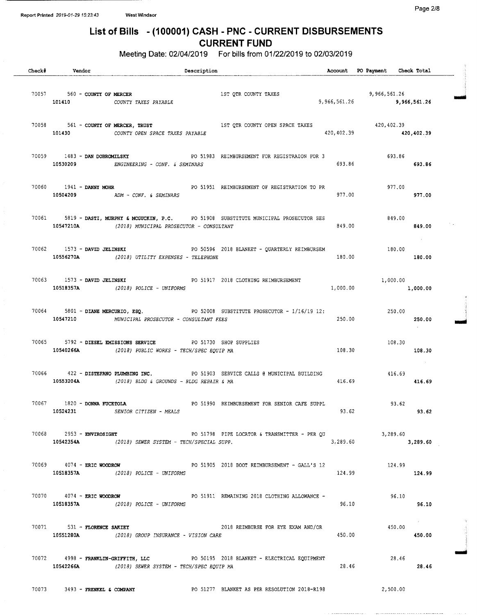Meeting Date: 02/04/2019 For bills from 01/22/2019 to 02/03/2019

| Check# | Vendor                                             | Description                                                                                                                                    |                                              |              | Account PO Payment Check Total |                             |  |
|--------|----------------------------------------------------|------------------------------------------------------------------------------------------------------------------------------------------------|----------------------------------------------|--------------|--------------------------------|-----------------------------|--|
|        | 70057 560 - COUNTY OF MERCER                       | 101410 COUNTY TAXES PAYABLE                                                                                                                    | 1ST QTR COUNTY TAXES                         | 9,966,561.26 | 9,966,561.26                   | 9,966,561.26                |  |
|        |                                                    | 70058 561 - COUNTY OF MERCER, TRUST THE RESERCT OF SPACE TAXES<br>101430 COUNTY OPEN SPACE TAXES PAYABLE                                       |                                              | 420, 402.39  | 420,402.39                     | 420,402.39                  |  |
|        | 70059 1483 - DAN DOBROMILSKY                       | 10530209 ENGINEERING - CONF. & SEMINARS                                                                                                        | PO 51983 REIMBURSEMENT FOR REGISTRAION FOR 3 | 693.86       | 693.86                         | 693.86                      |  |
|        | 70060 1941 - DANNY MOHR                            | 10504209 ADM - CONF. & SEMINARS                                                                                                                | PO 51951 REIMBURSEMENT OF REGISTRATION TO PR | 977.00       | 977.00                         | 977.00                      |  |
|        |                                                    | 70061 5819 - DASTI, MURPHY & MCGUCKIN, P.C. PO 51908 SUBSTITUTE MUNICIPAL PROSECUTOR SES<br>10547210A (2018) MUNICIPAL PROSECUTOR - CONSULTANT |                                              | 849.00       | 849.00                         | 849.00                      |  |
|        | 70062 1573 - DAVID JELINSKI<br>10556270A           | (2018) UTILITY EXPENSES - TELEPHONE                                                                                                            | PO 50596 2018 BLANKET - QUARTERLY REIMBURSEM | 180.00       | 180.00                         | <b>Contractor</b><br>180.00 |  |
|        |                                                    | 70063 1573 - DAVID JELINSKI PO 51917 2018 CLOTHING REIMBURSEMENT<br>10518357A (2018) POLICE - UNIFORMS                                         |                                              | 1,000.00     | 1,000.00                       | 1,000.00                    |  |
|        |                                                    | 70064 5801 - DIANE MERCURIO, ESQ. PO 52008 SUBSTITUTE PROSECUTOR - 1/16/19 12:<br>10547210 MUNICIPAL PROSECUTOR - CONSULTANT FEES              |                                              | 250.00       |                                | 250.00<br>250.00            |  |
|        | 70065 5792 - DIESEL EMISSIONS SERVICE<br>10540266A | PO 51730 SHOP SUPPLIES<br>(2018) PUBLIC WORKS - TECH/SPEC EQUIP MA                                                                             |                                              | 108.30       | 108.30                         | 108.30                      |  |
|        |                                                    | 70066 422 - DISTEFANO PLUMBING INC. 80 PO 51903 SERVICE CALLS @ MUNICIPAL BUILDING<br>10553204A $(2018)$ BLDG & GROUNDS - BLDG REPAIR & MA     |                                              | 416.69       | 416.69                         | <b>Contractor</b><br>416.69 |  |
|        | 70067 1820 - DONNA FUCETOLA                        | 10524231 SENIOR CITIZEN - MEALS                                                                                                                | PO 51990 REIMBURSEMENT FOR SENIOR CAFE SUPPL | 93.62        | 93.62                          | 93.62                       |  |
|        | 70068 2953 - ENVIROSIGHT                           | 10542354A (2018) SEWER SYSTEM - TECH/SPECIAL SUPP.                                                                                             | PO 51798 PIPE LOCATOR & TRANSMITTER - PER QU | 3,289.60     | 3,289.60                       | 3,289.60                    |  |
|        |                                                    | 10518357A (2018) POLICE - UNIFORMS                                                                                                             |                                              | 124.99       |                                | 124.99<br>124.99            |  |
|        | 70070 4074 - ERIC WOODROW                          | PO 51911 REMAINING 2018 CLOTHING ALLOWANCE -<br>10518357A (2018) POLICE - UNIFORMS                                                             |                                              | 96.10        | 96.10                          | 96.10                       |  |
|        | 70071 531 - FLORENCE SAKIEY                        | 10551280A (2018) GROUP INSURANCE - VISION CARE                                                                                                 | 2018 REIMBURSE FOR EYE EXAM AND/OR           | 450.00       | 450.00                         | <b>Contractor</b><br>450.00 |  |
|        |                                                    | 10542266A (2018) SEWER SYSTEM - TECH/SPEC EQUIP MA                                                                                             |                                              | 28.46        | 28.46                          | 28.46                       |  |
|        |                                                    | 70073 3493 - FRENKEL & COMPANY <b>PO 51277 BLANKET AS PER RESOLUTION 2018-R198</b> 2,500.00                                                    |                                              |              |                                |                             |  |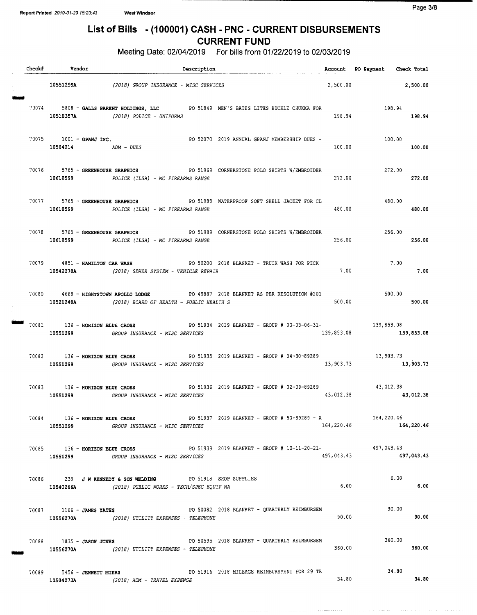Meeting Date: 02/04/2019 For bills from 01/22/2019 to 02/03/2019

|  | Check# Vendor                              | Description                                                                                              | Account PO Payment Check Total                                                       |            |                                  |       |
|--|--------------------------------------------|----------------------------------------------------------------------------------------------------------|--------------------------------------------------------------------------------------|------------|----------------------------------|-------|
|  |                                            | 10551299A     (2018) GROUP INSURANCE - MISC SERVICES                                                     |                                                                                      |            | 2,500.00<br>2,500.00             |       |
|  |                                            | 10518357A $(2018)$ POLICE - UNIFORMS                                                                     | 70074 5808 - GALLS PARENT HOLDINGS, LLC PO 51849 MEN'S BATES LITES BUCKLE CHUKKA FOR | 198.94     | 198.94<br>198.94                 |       |
|  | 10504214 ADM - DUES                        |                                                                                                          | 70075 1001 - GPANJ INC. THE RESERVED OF SECTION 2019 ANNUAL GPANJ MEMBERSHIP DUES -  | 100.00     | 100.00<br>100.00                 |       |
|  |                                            | 10618599 POLICE (ILSA) - MC FIREARMS RANGE                                                               | 70076 5765 - GREENHOUSE GRAPHICS TO PO 51969 CORNERSTONE POLO SHIRTS W/EMBROIDER     | 272.00     | 272.00<br>272.00                 |       |
|  |                                            | 10618599 POLICE (ILSA) - MC FIREARMS RANGE                                                               | 70077 5765 - GREENHOUSE GRAPHICS FOR STREET PO STREET ROOT SOFT SHELL JACKET FOR CL  | 480.00     | 480.00<br>480.00                 |       |
|  |                                            | 10618599 POLICE (ILSA) - MC FIREARMS RANGE                                                               | 70078 5765 - GREENHOUSE GRAPHICS TO PO 51989 CORNERSTONE POLO SHIRTS W/EMBROIDER     | 256.00     | 256.00<br>256.00                 |       |
|  | 70079 4851 - HAMILTON CAR WASH             | 10542278A (2018) SEWER SYSTEM - VEHICLE REPAIR                                                           | PO 50200 2018 BLANKET - TRUCK WASH FOR PICK                                          | 7.00       | 7.00<br>7.00                     |       |
|  |                                            | 10521248A (2018) BOARD OF HEALTH - PUBLIC HEALTH S                                                       | 70080  4668 - HIGHTSTOWN APOLLO LODGE  PO 49887  2018 BLANKET AS PER RESOLUTION #201 | 500.00     | 500.00<br>500.00                 |       |
|  |                                            | 10551299 GROUP INSURANCE - MISC SERVICES                                                                 | 70081 136 - HORIZON BLUE CROSS 60 2019 BLANKET - GROUP # 00-03-06-31- 139,853.08     | 139,853.08 | 139,853.08                       |       |
|  | 70082 136 - HORIZON BLUE CROSS             | 10551299 GROUP INSURANCE - MISC SERVICES                                                                 | PO 51935 2019 BLANKET - GROUP # 04-30-89289                                          | 13,903.73  | 13,903.73<br>13,903.73           |       |
|  |                                            | 10551299 GROUP INSURANCE - MISC SERVICES                                                                 | 70083 136 - HORIZON BLUE CROSS 60 2019 BLANKET - GROUP # 02-09-89289                 |            | 43,012.38<br>43,012.38 43,012.38 |       |
|  | 70084 136 - HORIZON BLUE CROSS<br>10551299 | GROUP INSURANCE - MISC SERVICES                                                                          | PO 51937 2019 BLANKET - GROUP # 50-89289 - A 164,220.46                              | 164,220.46 | 164,220.46                       |       |
|  | 10551299                                   | GROUP INSURANCE - MISC SERVICES                                                                          | 70085 136 - HORIZON BLUE CROSS 60 1369 PO 51939 2019 BLANKET - GROUP # 10-11-20-21-  |            | 497,043.43 497,043.43            |       |
|  | 10540266A                                  | 70086 238 - J W KENNEDY & SON WELDING PO 51918 SHOP SUPPLIES<br>(2018) PUBLIC WORKS - TECH/SPEC EQUIP MA |                                                                                      | 6.00       | 6.00                             | 6.00  |
|  | 70087 1166 - JAMES YATES                   | 10556270A (2018) UTILITY EXPENSES - TELEPHONE                                                            | PO 50082 2018 BLANKET - QUARTERLY REIMBURSEM                                         | 90.00      | 90.00                            | 90.00 |
|  | 70088 1835 - JASON JONES                   | 10556270A (2018) UTILITY EXPENSES - TELEPHONE                                                            | PO 50595 2018 BLANKET - QUARTERLY REIMBURSEM                                         | 360.00     | 360.00<br>360.00                 |       |
|  | 10504273A                                  | (2018) ADM - TRAVEL EXPENSE                                                                              | 70089 5456 - JENNETT MIERS 600 600 600 600 600 7018 MILEAGE REIMBURSMENT FOR 29 TR   | 34.80      | 34.80                            | 34.80 |

. . . . . . . . . . . . . . . .

as and the

بلدانيت والأناب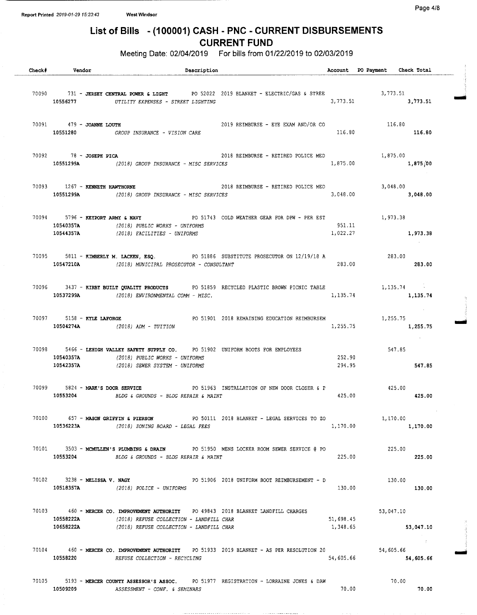Meeting Date: 02/04/2019 For bills from 01/22/2019 to 02/03/2019

| $Check$ # | Vendor    | Description                                                                                     |           |           | Account PO Payment Check Total |  |
|-----------|-----------|-------------------------------------------------------------------------------------------------|-----------|-----------|--------------------------------|--|
|           |           |                                                                                                 |           |           |                                |  |
|           |           |                                                                                                 |           |           |                                |  |
|           |           | 70090 731 - JERSEY CENTRAL POWER & LIGHT PO 52022 2019 BLANKET - ELECTRIC/GAS & STREE           |           |           | 3,773.51                       |  |
|           |           | 10556277 UTILITY EXPENSES - STREET LIGHTING                                                     | 3,773.51  |           | 3,773.51                       |  |
|           |           |                                                                                                 |           |           |                                |  |
|           |           |                                                                                                 |           |           |                                |  |
|           |           | 2019 REIMBURSE - EYE EXAM AND/OR CO<br>70091 479 - JOANNE LOUTH                                 |           |           | 116.80                         |  |
|           |           | 10551280 GROUP INSURANCE - VISION CARE                                                          | 116.80    |           | 116,80                         |  |
|           |           |                                                                                                 |           |           |                                |  |
|           |           |                                                                                                 |           |           |                                |  |
|           |           | 70092 78 - JOSEPH PICA<br>2018 REIMBURSE - RETIRED POLICE MED                                   |           |           | 1,875.00                       |  |
|           | 10551299A | (2018) GROUP INSURANCE - MISC SERVICES                                                          | 1,875.00  |           | 1,875,00                       |  |
|           |           |                                                                                                 |           |           |                                |  |
|           |           |                                                                                                 |           |           |                                |  |
|           |           | 70093 1267 - KENNETH HAWTHORNE<br>2018 REIMBURSE - RETIRED POLICE MED                           |           |           | 3,048.00                       |  |
|           |           | 10551299A (2018) GROUP INSURANCE - MISC SERVICES                                                | 3,048.00  |           | 3,048.00                       |  |
|           |           |                                                                                                 |           |           |                                |  |
|           |           |                                                                                                 |           |           |                                |  |
|           |           | 70094 5796 - KEYPORT ARMY & NAVY <b>PO 51743</b> COLD WEATHER GEAR FOR DPW - PER EST 51,973.38  |           |           |                                |  |
|           | 10540357A | (2018) PUBLIC WORKS - UNIFORMS                                                                  | 951.11    |           |                                |  |
|           | 10544357A | (2018) FACILITIES - UNIFORMS                                                                    | 1,022.27  |           | 1,973.38                       |  |
|           |           |                                                                                                 |           |           |                                |  |
|           |           |                                                                                                 |           |           |                                |  |
|           |           | 70095 5811 - KIMBERLY M. LACKEN, ESQ. PO 51886 SUBSTITUTE PROSECUTOR ON 12/19/18 A              |           |           | 283.00                         |  |
|           |           | 10547210A (2018) MUNICIPAL PROSECUTOR - CONSULTANT                                              | 283.00    |           | 283.00                         |  |
|           |           |                                                                                                 |           |           |                                |  |
|           |           |                                                                                                 |           |           |                                |  |
|           |           | 70096 3437 - KIRBY BUILT QUALITY PRODUCTS PO 51859 RECYCLED PLASTIC BROWN PICNIC TABLE 1,135.74 |           |           |                                |  |
|           |           | 10537299A (2018) ENVIRONMENTAL COMM - MISC.                                                     | 1, 135.74 |           | 1,135.74                       |  |
|           |           |                                                                                                 |           |           |                                |  |
|           |           |                                                                                                 |           |           |                                |  |
|           |           | 70097 5158 - KYLE LAFORGE 6 6 71901 2018 REMAINING EDUCATION REIMBURSEM                         |           |           | 1,255.75                       |  |
|           |           | 10504274A (2018) ADM - TUITION                                                                  | 1,255.75  |           | 1,255.75                       |  |
|           |           |                                                                                                 |           |           | <b>Contractor</b>              |  |
|           |           |                                                                                                 |           |           |                                |  |
|           |           | 70098 5466 - LEHIGH VALLEY SAFETY SUPPLY CO. PO 51902 UNIFORM BOOTS FOR EMPLOYEES               |           |           | 547.85                         |  |
|           |           | 10540357A (2018) PUBLIC WORKS - UNIFORMS                                                        | 252.90    |           |                                |  |
|           |           | 10542357A (2018) SEWER SYSTEM - UNIFORMS                                                        | 294.95    |           | 547.85                         |  |
|           |           |                                                                                                 |           |           |                                |  |
|           |           |                                                                                                 |           |           |                                |  |
|           |           | 70099 5824 - MARK'S DOOR SERVICE THE RESERVED PO 51963 INSTALLATION OF NEW DOOR CLOSER & P      |           | 425.00    |                                |  |
|           | 10553204  | BLDG & GROUNDS - BLDG REPAIR & MAINT                                                            | 425.00    |           | 425.00                         |  |
|           |           |                                                                                                 |           |           |                                |  |
| 70100     |           | 657 - MASON GRIFFIN & PIERSON PO 50111 2018 BLANKET - LEGAL SERVICES TO 20                      |           | 1,170.00  |                                |  |
|           |           | 10536223A (2018) ZONING BOARD - LEGAL FEES                                                      | 1,170.00  |           | 1,170.00                       |  |
|           |           |                                                                                                 |           |           |                                |  |
|           |           |                                                                                                 |           |           |                                |  |
|           |           | 70101 3503 - MCMULLEN'S PLUMBING & DRAIN PO 51950 MENS LOCKER ROOM SEWER SERVICE @ PO           |           |           | 225.00                         |  |
|           | 10553204  | BLDG & GROUNDS - BLDG REPAIR & MAINT                                                            | 225.00    |           | 225.00                         |  |
|           |           |                                                                                                 |           |           |                                |  |
|           |           |                                                                                                 |           |           |                                |  |
|           |           | 70102 3238 - MELISSA V. NAGY 600 100 1900 1000 2018 UNIFORM BOOT REIMBURSEMENT - D              |           |           | 130.00                         |  |
|           |           | 10518357A (2018) POLICE - UNIFORMS                                                              | 130.00    |           | 130.00                         |  |
|           |           |                                                                                                 |           |           |                                |  |
|           |           |                                                                                                 |           |           |                                |  |
|           |           | 70103 460 - MERCER CO, IMPROVEMENT AUTHORITY PO 49843 2018 BLANKET LANDFILL CHARGES             |           |           | 53,047.10                      |  |
|           | 10558222A | (2018) REFUSE COLLECTION - LANDFILL CHAR                                                        | 51,698.45 |           |                                |  |
|           | 10658222A | (2018) REFUSE COLLECTION - LANDFILL CHAR                                                        | 1,348.65  |           | 53,047.10                      |  |
|           |           |                                                                                                 |           |           |                                |  |
|           |           |                                                                                                 |           |           | 一本                             |  |
|           |           |                                                                                                 |           | 54,605.66 |                                |  |
|           |           | 10558220 REFUSE COLLECTION - RECYCLING                                                          | 54,605.66 |           | 54,605.66                      |  |
|           |           |                                                                                                 |           |           |                                |  |
|           |           |                                                                                                 |           |           |                                |  |
|           |           | 70105 5193 - MERCER COUNTY ASSESSOR'S ASSOC. PO 51977 REGISTRATION - LORRAINE JONES & DAW       |           |           | 70.00                          |  |
|           | 10509209  | ASSESSMENT - CONF. & SEMINARS                                                                   | 70.00     |           | 70.00                          |  |
|           |           |                                                                                                 |           |           |                                |  |

. . . . . . *. . . . . . .* . . . .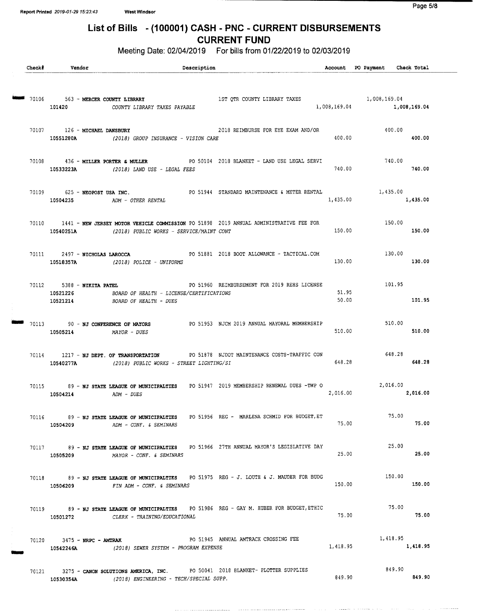## List of Bills - ( 100001) CASH - PNC - CURRENT DISBURSEMENTS CURRENT FUND

Meeting Date: 02/04/2019 For bills from 01/22/2019 to 02/03/2019

| <b>Check#</b> | Vendor                                            | Description                                                                                                                                  | Account        | <b>PO Payment</b>      | Check Total               |
|---------------|---------------------------------------------------|----------------------------------------------------------------------------------------------------------------------------------------------|----------------|------------------------|---------------------------|
|               | 70106 563 - MERCER COUNTY LIBRARY                 | 1ST QTR COUNTY LIBRARY TAXES                                                                                                                 |                | 1,008,169.04           |                           |
|               | 70107 126 - MICHAEL DANSBURY                      | 101420 COUNTY LIBRARY TAXES PAYABLE<br>2018 REIMBURSE FOR EYE EXAM AND/OR                                                                    |                | 1,008,169.04<br>400.00 | 1,008,169.04              |
|               |                                                   | 10551280A (2018) GROUP INSURANCE - VISION CARE                                                                                               | 400.00         |                        | 400.00                    |
|               |                                                   | 70108 436 - MILLER PORTER & MULLER PO 50104 2018 BLANKET - LAND USE LEGAL SERVI<br>10533223A (2018) LAND USE - LEGAL FEES                    | 740.00         | 740.00                 | 740.00                    |
|               |                                                   | PO 51944 STANDARD MAINTENANCE & METER RENTAL<br>70109 625 - NEOPOST USA INC.<br>10504235 ADM - OTHER RENTAL                                  | 1,435.00       | 1,435.00<br>1,435.00   |                           |
|               | 10540251A                                         | 70110 1441 - NEW JERSEY MOTOR VEHICLE COMMISSION PO 51898 2019 ANNUAL ADMINISTRATIVE FEE FOR<br>(2018) PUBLIC WORKS - SERVICE/MAINT CONT     | 150.00         | 150.00                 | 150.00                    |
|               | 70111 2497 - NICHOLAS LAROCCA                     | PO 51881 2018 BOOT ALLOWANCE - TACTICAL.COM<br>10518357A (2018) POLICE - UNIFORMS                                                            | 130.00         | 130.00                 | 130.00                    |
|               | 70112 5388 - NIKITA PATEL<br>10521226<br>10521214 | PO 51960 REIMBURSEMENT FOR 2019 REHS LICENSE<br>BOARD OF HEALTH - LICENSE/CERTIFICATIONS<br>BOARD OF HEALTH - DUES                           | 51.95<br>50.00 | 101.95                 | $\sim 100$ km s<br>101.95 |
|               | 10505214 MAYOR - DUES                             | 70113 90 - NJ CONFERENCE OF MAYORS PO 51953 NJCM 2019 ANNUAL MAYORAL MEMBERSHIP                                                              | 510.00         | 510.00                 | 510.00                    |
|               |                                                   | 70114 1217 - NJ DEPT. OF TRANSPORTATION PO 51878 NJDOT MAINTENANCE COSTS-TRAFFIC CON<br>$10540277A$ (2018) PUBLIC WORKS - STREET LIGHTING/SI | 648.28         | 648.28                 | 648.28                    |
|               | 10504214                                          | 70115 89 - NJ STATE LEAGUE OF MUNICIPALTIES PO 51947 2019 MEMBERSHIP RENEWAL DUES -TWP O<br>ADM - DUES                                       | 2,016.00       | 2,016.00               | 2,016.00                  |
|               |                                                   | 70116 39 - NJ STATE LEAGUE OF MUNICIPALTIES PO 51956 REG - MARLENA SCHMID FOR BUDGET, ET<br>10504209 ADM - CONF. & SEMINARS                  | 75.00          | 75.00                  | 75.00                     |
|               | 10505209                                          | 70117 89 - NJ STATE LEAGUE OF MUNICIPALTIES PO 51966 27TH ANNUAL MAYOR'S LEGISLATIVE DAY<br>MAYOR - CONF. & SEMINARS                         | 25.00          | 25.00                  | 25.00                     |
|               | 10506209                                          | 70118 39 - NJ STATE LEAGUE OF MUNICIPALTIES PO 51975 REG - J. LOUTH & J. MAUDER FOR BUDG<br>FIN ADM - CONF. & SEMINARS                       | 150.00         | 150.00                 | 150.00                    |
|               |                                                   | 70119 89 - NJ STATE LEAGUE OF MUNICIPALTIES PO 51986 REG - GAY M. HUBER FOR BUDGET, ETHIC<br>10501272 CLERK - TRAINING/EDUCATIONAL           | 75.00          | 75.00                  | 75.00                     |
|               | 70120 3475 - NRPC - AMTRAK<br>10542246A           | PO 51945 ANNUAL AMTRACK CROSSING FEE<br>(2018) SEWER SYSTEM - PROGRAM EXPENSE                                                                | 1,418.95       | 1,418.95               | 1,418.95                  |
|               |                                                   | 70121 3275 - CANON SOLUTIONS AMERICA, INC. PO 50041 2018 BLANKET- PLOTTER SUPPLIES<br>10530354A (2018) ENGINEERING - TECH/SPECIAL SUPP.      | 849.90         | 849.90                 | 849.90                    |

and the contract of the construction of the contract of the contract of the contract of the contract of the contract of the contract of the contract of the contract of the contract of the contract of the contract of the co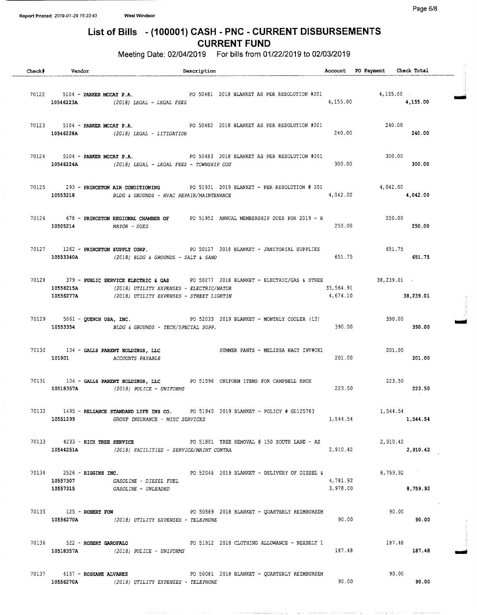Meeting Date: 02/04/2019 For bills from 01/22/2019 to 02/03/2019

|       | Check# Vendor               |                                                                                                | Description |                                                                                                                          |                      | Account PO Payment Check Total    |          |  |
|-------|-----------------------------|------------------------------------------------------------------------------------------------|-------------|--------------------------------------------------------------------------------------------------------------------------|----------------------|-----------------------------------|----------|--|
|       |                             | 10546223A (2018) LEGAL - LEGAL FEES                                                            |             | 70122 5104 - PARKER MCCAY P.A. 2018 BLANKET AS PER RESOLUTION #201 4,155.00                                              | 4,155.00             | 4,155.00                          |          |  |
|       |                             | $10546228A$ (2018) LEGAL - LITIGATION                                                          |             | 70123 5104 - PARKER MCCAY P.A. PO 50482 2018 BLANKET AS PER RESOLUTION #201                                              | 240.00               | 240.00<br>240.00                  |          |  |
|       |                             | 10546224A (2018) LEGAL - LEGAL FEES - TOWNSHIP COU                                             |             | 70124 5104 - PARKER MCCAY P.A. 2018 BLANKET AS PER RESOLUTION #201                                                       |                      | 300.00 300.00                     |          |  |
|       |                             | 10553218 BLDG & GROUNDS - HVAC REPAIR/MAINTENANCE                                              |             | 70125 293 - PRINCETON AIR CONDITIONING PO 51931 2019 BLANKET - PER RESOLUTION # 201                                      | 4,042.00             | 4,042.00<br>4,042.00              |          |  |
|       | $10505214$ MAYOR - DUES     |                                                                                                |             | 70126 678 - PRINCETON REGIONAL CHAMBER OF PO 51952 ANNUAL MEMBERSHIP DUES FOR 2019 - H 250.00                            |                      | 250.00 250.00                     |          |  |
|       |                             | 10553340A $(2018)$ BLDG & GROUNDS - SALT & SAND                                                |             | 70127 1262 - PRINCETON SUPPLY CORP. PO 50127 2018 BLANKET - JANITORIAL SUPPLIES                                          | 651.75               | 651.75<br>651.75                  |          |  |
|       | 10556215A                   | (2018) UTILITY EXPENSES - ELECTRIC/NATUR<br>10556277A (2018) UTILITY EXPENSES - STREET LIGHTIN |             | 70128 379 - PUBLIC SERVICE ELECTRIC & GAS PO 50277 2018 BLANKET - ELECTRIC/GAS & STREE                                   | 33,564.91            | 38,239.01 .<br>4,674.10 38,239.01 |          |  |
|       |                             | 10553354 BLDG & GROUNDS - TECH/SPECIAL SUPP.                                                   |             | 70129 5061 - QUENCH USA, INC. 2013 PO 52033 2019 BLANKET - MONTHLY COOLER (13) 390.00                                    | 390.00               |                                   | 390.00   |  |
|       |                             |                                                                                                |             | 10130 104 - <b>GALLS PARENT HOLDINGS, LLC</b> SUMMER PANTS - MELISSA NAGY INV#0K1 201.00 201.00 201.00                   |                      |                                   |          |  |
|       |                             | 10518357A (2018) POLICE - UNIFORMS                                                             |             | 70131 104 - GALLS PARENT HOLDINGS, LLC PO 51596 UNIFORM ITEMS FOR CAMPBELL KNOX                                          |                      | 223.50<br>223.50 223.50           |          |  |
| 70132 | 10551299                    | GROUP INSURANCE - MISC SERVICES                                                                |             | 1495 - RELLANCE STANDARD LIFE INS CO. PO 51940 2019 BLANKET - POLICY # GL125783                                          | 1,544.54             | 1,544.54                          | 1,544.54 |  |
|       |                             | 70133 4233 - RICH TREE SERVICE<br>10544251A (2018) FACILITIES - SERVICE/MAINT CONTRA           |             | PO 51801 TREE REMOVAL @ 150 SOUTH LANE - AS                                                                              | 2,910.42             | 2,910.42                          | 2,910.42 |  |
|       | 10557307<br>10557315        | <i>GASOLINE - DIESEL FUEL</i><br><i>GASOLINE - UNLEADED</i>                                    |             | 70134 2526 - RIGGINS INC. THE RESERVE SERVES OF PROPERT OF PROPERT OF DIESEL &                                           | 4,781.92<br>3,978.00 | 8,759.92                          | 8,759.92 |  |
|       |                             | 10556270A (2018) UTILITY EXPENSES - TELEPHONE                                                  |             | 70135 125 - ROBERT FOW THE RESERVE TO SOSSE 2018 BLANKET - QUARTERLY REIMBURSEM                                          | 90.00                | 90.00                             | 90.00    |  |
|       | 70136 522 - ROBERT GAROFALO | 10518357A (2018) POLICE - UNIFORMS                                                             |             | PO 51912 2018 CLOTHING ALLOWANCE - NEXBELT 1                                                                             | 187.48               | 187.48                            | 187.48   |  |
|       |                             | 10556270A (2018) UTILITY EXPENSES - TELEPHONE                                                  |             | 70137 4157 - ROSHANE ALVAREZ <b>12.13 FOST POST AND A STARE ARE ARTICLE</b> TO SOO81 2018 BLANKET - QUARTERLY REIMBURSEM | 90.00                | 90.00                             | 90.00    |  |

where  $\alpha$  is a set of  $\alpha$  ,  $\alpha$ 

 $\sim$  1900  $\sim$   $\sim$   $\sim$  0.000  $\mu$  0.000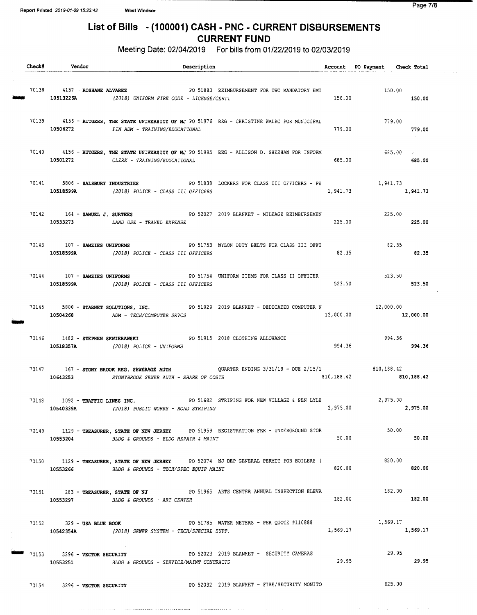Meeting Date: 02/04/2019 For bills from 01/22/2019 to 02/03/2019

|  | Check# Vendor                    | Description                                                                                                                                       |            | Account PO Payment Check Total |                           |
|--|----------------------------------|---------------------------------------------------------------------------------------------------------------------------------------------------|------------|--------------------------------|---------------------------|
|  |                                  | 70138 4157 - ROSHANE ALVAREZ <b>EXECUTE:</b> PO 51883 REIMBURSEMENT FOR TWO MANDATORY EMT<br>10513226A $(2018)$ UNIFORM FIRE CODE - LICENSE/CERTI | 150.00     | 150.00<br>150.00               |                           |
|  |                                  | 70139 4156 - RUTGERS, THE STATE UNIVERSITY OF NJ PO 51976 REG - CHRISTINE WALKO FOR MUNICIPAL<br>10506272 FIN ADM - TRAINING/EDUCATIONAL          | 779.00     | 779.00                         | 779.00<br>$\sim 10^{-11}$ |
|  |                                  | 70140 4156 - RUTGERS, THE STATE UNIVERSITY OF NJ PO 51995 REG - ALLISON D. SHEEHAN FOR INFORM<br>10501272 CLERK - TRAINING/EDUCATIONAL            | 685.00     | 685.00 -<br>685.00             |                           |
|  |                                  | 70141 5806 - SALSBURY INDUSTRIES PO 51838 LOCKERS FOR CLASS III OFFICERS - PE 1,941.73<br>10518599A (2018) POLICE - CLASS III OFFICERS            |            | 1,941.73 1,941.73              |                           |
|  |                                  | 70142 164 - SAMUEL J. SURTEES TO PO 52027 2019 BLANKET - MILEAGE REIMBURSEMEN<br>10533273 LAND USE - TRAVEL EXPENSE                               | 225.00     | 225.00<br>225.00               |                           |
|  |                                  | 70143 107 - SAMZIES UNIFORMS PO 51753 NYLON DUTY BELTS FOR CLASS III OFFI<br>10518599A (2018) POLICE - CLASS III OFFICERS                         | 82,35      | 82.35                          | 82.35                     |
|  |                                  | 70144 107 - SAMZIES UNIFORMS <b>EXECUTE:</b> PO 51754 UNIFORM ITEMS FOR CLASS II OFFICER 523.50<br>10518599A (2018) POLICE - CLASS III OFFICERS   | 523.50     |                                | 523.50                    |
|  |                                  | 70145 5800 - STARNET SOLUTIONS, INC. 2019 BLANKET - DEDICATED COMPUTER N 32,000.00<br>10504268 ADM - TECH/COMPUTER SRVCS                          | 12,000.00  |                                | 12,000.00                 |
|  |                                  | 70146 1482 - STEPHEN SKWIERAWSKI PO 51915 2018 CLOTHING ALLOWANCE<br>10518357A (2018) POLICE - UNIFORMS                                           | 994,36     | 994.36<br>994.36               |                           |
|  |                                  | 70147 167 - STONY BROOK REG. SEWERAGE AUTH QUARTER ENDING 3/31/19 - DUE 2/15/1 210, 188.42<br>10643253 STONYBROOK SEWER AUTH - SHARE OF COSTS     | 810,188.42 | 810,188.42                     |                           |
|  | 70148 1092 - TRAFFIC LINES INC.  | PO 51682 STRIPING FOR NEW VILLAGE & PEN LYLE<br>$2,975.00$ 2,975.00<br>10540339A (2018) PUBLIC WORKS - ROAD STRIPING                              |            | 2,975.00                       |                           |
|  |                                  | 70149 1129 - TREASURER, STATE OF NEW JERSEY PO 51959 REGISTRATION FEE - UNDERGROUND STOR<br>10553204 BLDG & GROUNDS - BLDG REPAIR & MAINT         | 50.00      | 50.00                          | 50.00                     |
|  |                                  | 70150 1129 - TREASURER, STATE OF NEW JERSEY PO 52074 NJ DEP GENERAL PERMIT FOR BOILERS (<br>10553266 BLDG & GROUNDS - TECH/SPEC EQUIP MAINT       | 820.00     | 820.00                         | 820.00                    |
|  |                                  | 70151 283 - TREASURER, STATE OF NJ PO 51965 ARTS CENTER ANNUAL INSPECTION ELEVA<br>10553297 BLDG & GROUNDS - ART CENTER                           | 182.00     | 182.00<br>182.00               |                           |
|  |                                  | 70152 329 - USA BLUE BOOK 6 2008 2008 201785 WATER METERS - PER QUOTE #110888<br>10542354A (2018) SEWER SYSTEM - TECH/SPECIAL SUPP.               | 1,569.17   | 1,569.17                       | 1,569.17                  |
|  | 70153 3296 - VECTOR SECURITY     | PO 52023 2019 BLANKET - SECURITY CAMERAS<br>10553251 BLDG & GROUNDS - SERVICE/MAINT CONTRACTS                                                     | 29.95      | 29.95                          | 29.95                     |
|  | $70154$ $3296$ - VECTOR SECURITY | PO 52032 2019 BLANKET - FIRE/SECURITY MONITO                                                                                                      |            | 625.00                         |                           |

 $\sim$  2.2  $\sim$  0.4

. . . .

 $\sim 100$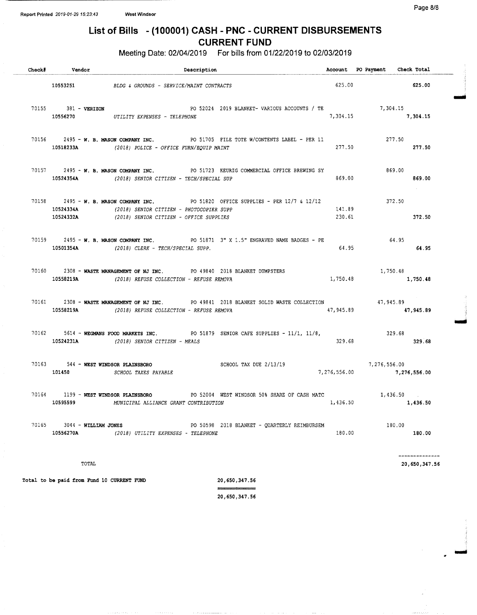Meeting Date: 02/04/2019 For bills from 01/22/2019 to 02/03/2019

|       | Check# Vendor                              | Description                                                                                                                                                                           |                  | Account PO Payment Check Total |                              |
|-------|--------------------------------------------|---------------------------------------------------------------------------------------------------------------------------------------------------------------------------------------|------------------|--------------------------------|------------------------------|
|       |                                            | 10553251 BLDG & GROUNDS - SERVICE/MAINT CONTRACTS                                                                                                                                     | 625.00           |                                | 625.00                       |
|       |                                            | 70155 381 - <b>VERIZON</b> 81 2019 BLANKET- VARIOUS ACCOUNTS / TE<br>10556270 UTILITY EXPENSES - TELEPHONE                                                                            | 7,304.15         | 7,304.15                       |                              |
|       |                                            | 70156 2495 - W. B. MASON COMPANY INC. PO 51705 FILE TOTE W/CONTENTS LABEL - PER 11<br>10518233A (2018) POLICE - OFFICE FURN/EQUIP MAINT                                               | 277.50           | 277.50                         | 277.50                       |
|       |                                            | 70157 2495 - W. B. MASON COMPANY INC. PO 51723 KEURIG COMMERCIAL OFFICE BREWING SY<br>10524354A (2018) SENIOR CITIZEN - TECH/SPECIAL SUP                                              | 869.00           | 869.00                         | 869.00<br><b>Contractor</b>  |
|       | 10524334A                                  | 70158 $2495 - w$ . B. MASON COMPANY INC. PO 51820 OFFICE SUPPLIES - PER 12/7 & 12/12<br>(2018) SENIOR CITIZEN - PHOTOCOPIER SUPP<br>10524332A (2018) SENIOR CITIZEN - OFFICE SUPPLIES | 141.89<br>230.61 | 372.50                         | 372.50                       |
|       |                                            | 70159 2495 - W. B. MASON COMPANY INC. PO 51871 3" X 1.5" ENGRAVED NAME BADGES - PE<br>10501354A (2018) CLERK - TECH/SPECIAL SUPP.                                                     | 64.95            | 64.95<br>64.95                 |                              |
|       |                                            | 70160 2308 - WASTE MANAGEMENT OF NJ INC. PO 49840 2018 BLANKET DUMPSTERS<br>10558219A (2018) REFUSE COLLECTION - REFUSE REMOVA                                                        | 1,750.48         | 1,750.48<br>1,750.48           |                              |
|       |                                            | 70161 2308 - WASTE MANAGEMENT OF NJ INC. PO 49841 2018 BLANKET SOLID WASTE COLLECTION 47,945.89<br>10558219A (2018) REFUSE COLLECTION - REFUSE REMOVA                                 |                  | 47,945.89 47,945.89            |                              |
|       |                                            | 70162 5614 - WEGMANS FOOD MARKETS INC. PO 51879 SENIOR CAFE SUPPLIES - 11/1, 11/8,<br>$10524231A$ (2018) SENIOR CITIZEN - MEALS                                                       | 329.68           | 329.68<br>329.68               |                              |
|       | 101450                                     | 70163 544 - WEST WINDSOR PLAINSBORO<br>SCHOOL TAX DUE 2/13/19<br>SCHOOL TAXES PAYABLE                                                                                                 | 7,276,556.00     | 7, 276, 556.00<br>7,276,556.00 |                              |
|       |                                            | PO 52004 WEST WINDSOR 50% SHARE OF CASH MATC $1,436.50$<br>70164 1199 - WEST WINDSOR PLAINSBORO<br>10595599 MUNICIPAL ALLIANCE GRANT CONTRIBUTION                                     |                  | 1,436.50 1,436.50              |                              |
| 70165 | 3044 - WILLIAM JONES<br>10556270A          | PO 50598 2018 BLANKET - QUARTERLY REIMBURSEM<br>(2018) UTILITY EXPENSES - TELEPHONE                                                                                                   | 180.00           | 180.00                         | 180.00                       |
|       | TOTAL                                      |                                                                                                                                                                                       |                  |                                | -----------<br>20,650,347.56 |
|       | Total to be paid from Fund 10 CURRENT FUND | 20,650,347.56                                                                                                                                                                         |                  |                                |                              |

20, 650, 347. 56

wrd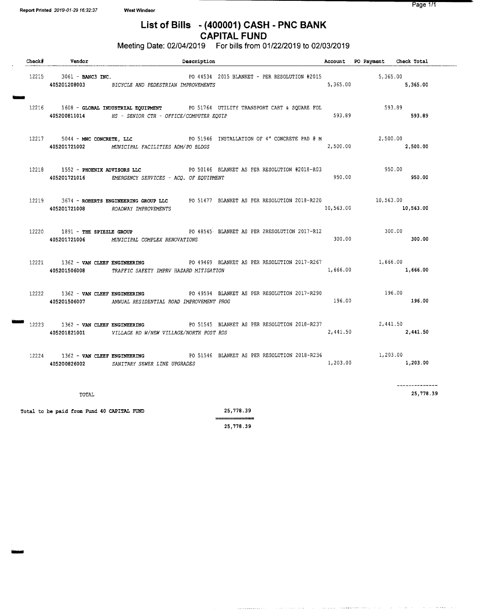## List of Bills - (400001) CASH - PNC BANK CAPITAL FUND

## Meeting Date: 02/04/2019 For bills from 01/22/2019 to 02/03/2019

| Check# | Vendor                                             |                                                                                          | Description |                                                                                                   |           | Account PO Payment Check Total |           |
|--------|----------------------------------------------------|------------------------------------------------------------------------------------------|-------------|---------------------------------------------------------------------------------------------------|-----------|--------------------------------|-----------|
|        | $12215$ $3061 - BANG3 INC.$                        | 405201208003 BICYCLE AND PEDESTRIAN IMPROVEMENTS                                         |             | PO 44534 2015 BLANKET - PER RESOLUTION #2015 5.365.00                                             | 5,365.00  |                                | 5,365.00  |
|        |                                                    | 405200811014 HS - SENIOR CTR - OFFICE/COMPUTER EQUIP                                     |             | 12216 1608 - GLOBAL INDUSTRIAL EQUIPMENT PO 51764 UTILITY TRANSPORT CART & SQUARE FOL             | 593.89    | 593.89<br>593.89               |           |
|        | 12217 5044 - MNC CONCRETE, LLC                     | 405201721002 MUNICIPAL FACILITIES ADM/PO BLDGS                                           |             | PO 51946 INSTALLATION OF 4" CONCRETE PAD @ M                                                      | 2,500.00  | 2,500.00<br>2,500.00           |           |
|        |                                                    | 12218 1552 - PHOENIX ADVISORS LLC<br>405201721016 EMERGENCY SERVICES - ACQ. OF EQUIPMENT |             | PO 50146 BLANKET AS PER RESOLUTION #2018-R03                                                      | 950.00    | 950.00                         | 950.00    |
|        |                                                    | 405201721008 ROADWAY IMPROVEMENTS                                                        |             | 12219 3674 - ROBERTS ENGINEERING GROUP LLC PO 51477 BLANKET AS PER RESOLUTION 2018-R220 10,563.00 | 10,563.00 |                                | 10,563.00 |
|        |                                                    | 405201721006 MUNICIPAL COMPLEX RENOVATIONS                                               |             | 12220 1891 - THE SPIEZLE GROUP 60 PO 48545 BLANKET AS PER 2RESOLUTION 2017-R12                    | 300.00    | 300.00<br>300.00               |           |
|        | 12221 1362 - VAN CLEEF ENGINEERING<br>405201506008 | TRAFFIC SAFETY IMPRV HAZARD MITIGATION                                                   |             | PO 49469 BLANKET AS PER RESOLUTION 2017-R267                                                      | 1,666.00  | 1,666.00                       | 1,666.00  |
|        |                                                    | 405201506007 ANNUAL RESIDENTIAL ROAD IMPROVEMENT PROG                                    |             | 12222 1362 - VAN CLEEF ENGINEERING PO 49594 BLANKET AS PER RESOLUTION 2017-R290                   | 196.00    | 196.00                         | 196.00    |
|        |                                                    | 405201821001 VILLAGE RD W/NEW VILLAGE/NORTH POST RDS                                     |             | 12223 1362 - VAN CLEEF ENGINEERING PO 51545 BLANKET AS PER RESOLUTION 2018-R237                   | 2,441.50  | 2,441.50<br>2,441.50           |           |
|        |                                                    | 405200826002 SANITARY SEWER LINE UPGRADES                                                |             | 12224 1362 - VAN CLEEF ENGINEERING PO 51546 BLANKET AS PER RESOLUTION 2018-R236 1,203.00          | 1,203.00  |                                | 1,203.00  |
|        | TOTAL                                              |                                                                                          |             |                                                                                                   |           |                                | 25.778.39 |
|        | Total to be paid from Fund 40 CAPITAL FUND         |                                                                                          |             | 25,778.39                                                                                         |           |                                |           |

25, 778. 39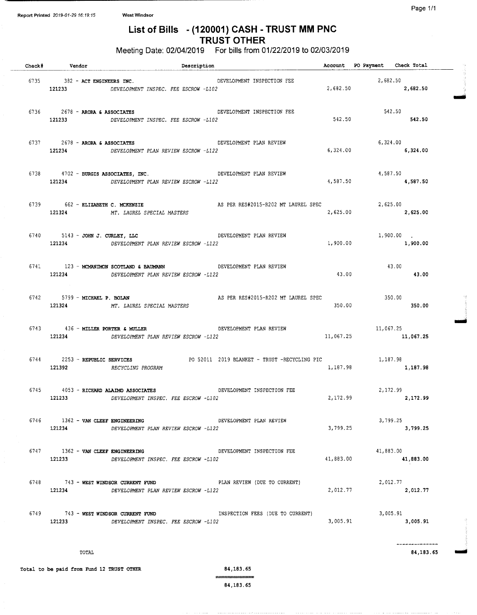## List of Bills - ( 120001) CASH - TRUST MM PNC TRUST OTHER

Meeting Date: 02/04/2019 For bills from 01/22/2019 to 02/03/2019

| Check# Vendor                                   | Description                                                                                                                 |           | Account PO Payment Check Total     |  |
|-------------------------------------------------|-----------------------------------------------------------------------------------------------------------------------------|-----------|------------------------------------|--|
| 6735 382 - ACT ENGINEERS INC.                   | DEVELOPMENT INSPECTION FEE<br>121233 DEVELOPMENT INSPEC. FEE ESCROW -L102                                                   |           | $2,682.50$<br>2,682.50<br>2,682.50 |  |
| $6736$ 2678 - ARORA & ASSOCIATES                | DEVELOPMENT INSPECTION FEE<br>121233 DEVELOPMENT INSPEC. FEE ESCROW -L102                                                   | 542.50    | 542.50<br>542.50                   |  |
| 6737 2678 - ARORA & ASSOCIATES<br>121234        | DEVELOPMENT PLAN REVIEW<br>DEVELOPMENT PLAN REVIEW ESCROW -L122                                                             | 6,324.00  | 6,324.00<br>6,324.00               |  |
|                                                 | 6738 4702 - BURGIS ASSOCIATES, INC.<br>DEVELOPMENT PLAN REVIEW<br>121234 DEVELOPMENT PLAN REVIEW ESCROW -L122               | 4,587.50  | 4,587.50<br>4,587.50               |  |
|                                                 | 6739 662 - ELIZABETH C. MCKENZIE COMPUTE AS PER RES#2015-R202 MT LAUREL SPEC 62,625.00<br>121324 MT. LAUREL SPECIAL MASTERS | 2,625.00  | 2,625.00                           |  |
| 121234                                          | 6740 5143 - JOHN J. CURLEY, LLC<br>DEVELOPMENT PLAN REVIEW<br>DEVELOPMENT PLAN REVIEW ESCROW -L122                          | 1,900.00  | 1,900.00<br>1,900.00               |  |
| $\sim 100$                                      | 6741 123 - MCMANIMON SCOTLAND & BAUMANN DEVELOPMENT PLAN REVIEW<br>121234 DEVELOPMENT PLAN REVIEW ESCROW -L122              | 43.00     | 43.00<br>43.00                     |  |
| 6742 5799 - MICHAEL P. BOLAN                    | AS PER RES#2015-R202 MT LAUREL SPEC 350.00<br>121324 MT. LAUREL SPECIAL MASTERS                                             | 350.00    | 350.00                             |  |
| 6743 436 - MILLER PORTER & MULLER               | DEVELOPMENT PLAN REVIEW<br>121234 DEVELOPMENT PLAN REVIEW ESCROW -L122                                                      | 11,067.25 | 11,067.25<br>11,067.25             |  |
| 121392 RECYCLING PROGRAM                        | 6744 2253 - REPUBLIC SERVICES PO 52011 2019 BLANKET - TRUST -RECYCLING PIC                                                  | 1,187.98  | 1,187.98<br>1,187.98               |  |
| 6745 4053 - RICHARD ALAIMO ASSOCIATES<br>121233 | DEVELOPMENT INSPECTION FEE<br>DEVELOPMENT INSPEC. FEE ESCROW -L102                                                          |           | 2,172.99<br>2,172.99 2,172.99      |  |
| 6746 1362 - VAN CLEEF ENGINEERING<br>121234     | DEVELOPMENT PLAN REVIEW<br>DEVELOPMENT PLAN REVIEW ESCROW -L122                                                             | 3,799.25  | 3,799.25<br>3,799.25               |  |
| 6747 1362 - VAN CLEEF ENGINEERING<br>121233     | DEVELOPMENT INSPECTION FEE<br>DEVELOPMENT INSPEC. FEE ESCROW -L102                                                          | 41,883.00 | 41,883.00<br>41,883.00             |  |
| 6748 743 - WEST WINDSOR CURRENT FUND            | PLAN REVIEW (DUE TO CURRENT)<br>121234 DEVELOPMENT PLAN REVIEW ESCROW -L122                                                 | 2,012.77  | 2,012.77<br>2,012.77               |  |
| 6749 743 - WEST WINDSOR CURRENT FUND<br>121233  | INSPECTION FEES (DUE TO CURRENT)<br>DEVELOPMENT INSPEC. FEE ESCROW -L102                                                    | 3,005.91  | 3,005.91<br>3,005.91               |  |
| TOTAL                                           |                                                                                                                             |           | 84,183.65                          |  |
| Total to be paid from Fund 12 TRUST OTHER       | 84, 183. 65                                                                                                                 |           |                                    |  |

84, 183. 65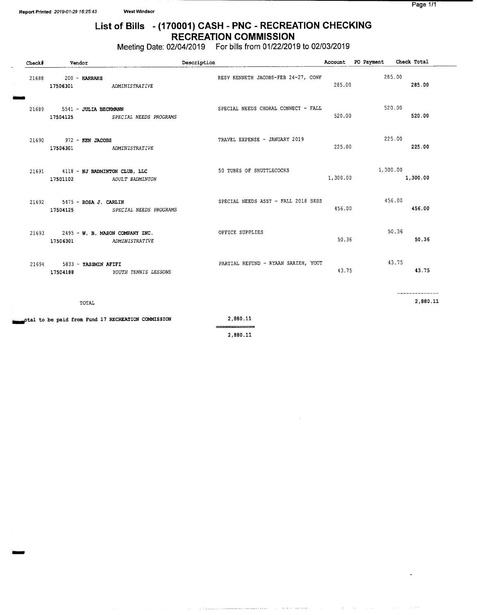## List of Bills - ( 170001) CASH - PNC - RECREATION CHECKING RECREATION COMMISSION

Meeting Date: 02/04/2019 For bills from 01/22/2019 to 02/03/2019

| Check# | Vendor                                            |                                                    | Description                         |          | Account PO Payment | Check Total                   |
|--------|---------------------------------------------------|----------------------------------------------------|-------------------------------------|----------|--------------------|-------------------------------|
| 21688  | $200 - HARRRAHS$<br>17506301                      | ADMINISTRATIVE                                     | RESV KENNETH JACOBS-FEB 24-27, CONF | 285.00   | 285.00             | 285.00                        |
|        | 21689 5541 - JULIA BECKMANN<br>17504125           | SPECIAL NEEDS PROGRAMS                             | SPECIAL NEEDS CHORAL CONNECT - FALL | 520.00   | 520.00             | 520.00                        |
|        | 21690 972 - KEN JACOBS<br>17506301                | ADMINISTRATIVE                                     | TRAVEL EXPENSE - JANUARY 2019       | 225.00   | 225.00             | 225.00                        |
|        | 21691 4118 - NJ BADMINTON CLUB, LLC<br>17501102   | ADULT BADMINTON                                    | 50 TUBES OF SHUTTLECOCKS            | 1,300.00 | 1,300.00           | 1,300.00                      |
|        | 21692 5475 - ROSA J. CARLIN<br>17504125           | SPECIAL NEEDS PROGRAMS                             | SPECIAL NEEDS ASST - FALL 2018 SESS | 456.00   | 456.00             | 456.00                        |
|        | 21693 2495 - W. B. MASON COMPANY INC.<br>17506301 | ADMINISTRATIVE                                     | OFFICE SUPPLIES                     | 50.36    | 50.36              | 50.36                         |
|        | 21694 5833 - YASSMIN AFIFI<br>17504188            | YOUTH TENNIS LESSONS                               | PARTIAL REFUND - RYAAN SARIEH, YOUT | 43.75    | 43.75              | 43.75                         |
|        | TOTAL                                             |                                                    |                                     |          |                    | -----------------<br>2,880.11 |
|        |                                                   | ptal to be paid from Fund 17 RECREATION COMMISSION | 2,880.11                            |          |                    |                               |

2, 880. 11

 $\label{eq:3.1} \begin{split} \mathcal{L}_{\text{max}}(\mathbf{r},\mathbf{r}) = \mathcal{L}_{\text{max}}(\mathbf{r},\mathbf{r}) = \mathcal{L}_{\text{max}}(\mathbf{r},\mathbf{r}) = \mathcal{L}_{\text{max}}(\mathbf{r},\mathbf{r}) = \mathcal{L}_{\text{max}}(\mathbf{r},\mathbf{r},\mathbf{r}) = \mathcal{L}_{\text{max}}(\mathbf{r},\mathbf{r},\mathbf{r}) = \mathcal{L}_{\text{max}}(\mathbf{r},\mathbf{r},\mathbf{r}) = \mathcal{L}_{\text{max}}(\mathbf{r},\mathbf$ 

 $\hat{z} = \hat{z}$  ,  $\hat{z}$  ,

 $\omega_{\rm{2}}$  ,  $\omega_{\rm{3}}$ 

 $\lambda$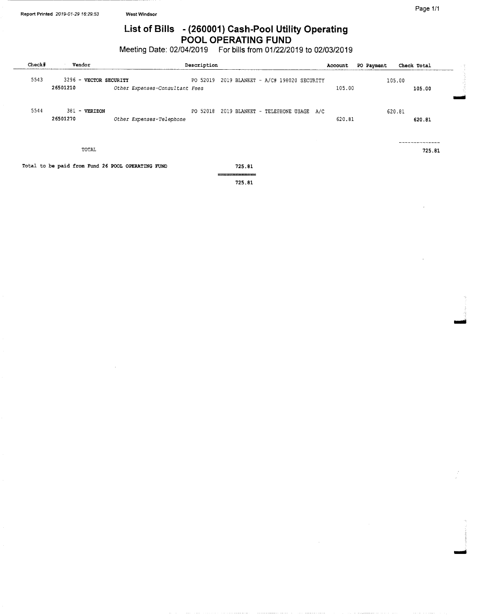## List of Bills - (260001) Cash-Pool Utility Operating POOL OPERATING FUND

Meeting Date: 02/04/2019 For bills from 01/22/2019 to 02/03/2019

| Check# | Vendor                             |                                                   | Description |                                              | Account | PO Payment | Check Total |
|--------|------------------------------------|---------------------------------------------------|-------------|----------------------------------------------|---------|------------|-------------|
| 5543   | 3296 - VECTOR SECURITY<br>26501210 | Other Expenses-Consultant Fees                    |             | PO 52019 2019 BLANKET - A/C# 198020 SECURITY | 105.00  | 105.00     | 105.00      |
| 5544   | 381 - VERIZON<br>26501270          | Other Expenses-Telephone                          |             | PO 52018 2019 BLANKET - TELEFHONE USAGE A/C  | 620.81  | 620.81     | 620.81      |
|        | TOTAL                              |                                                   |             |                                              |         |            | 725.81      |
|        |                                    | Total to be paid from Fund 26 POOL OPERATING FUND |             | 725.81                                       |         |            |             |
|        |                                    |                                                   |             | 725.81                                       |         |            |             |

mid

ttmti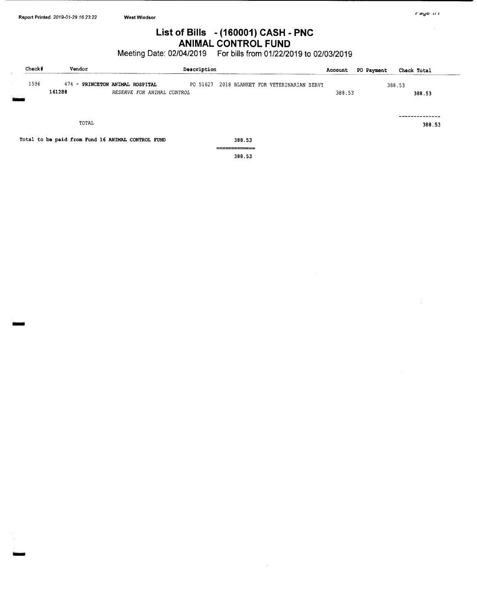## List of Bills - (160001) CASH - PNC ANIMAL CONTROL FUND

## Meeting Date: 02/04/2019 For bills from 01/22/2019 to 02/03/2019

| Check#        | Vendor                                            |                                                               | Description |                |                                              | Account | PO Payment |        | Check Total |
|---------------|---------------------------------------------------|---------------------------------------------------------------|-------------|----------------|----------------------------------------------|---------|------------|--------|-------------|
| 1596          | 161288                                            | 474 - PRINCETON ANIMAL HOSPITAL<br>RESERVE FOR ANIMAL CONTROL |             |                | PO 51627 2018 BLANKET FOR VETERINARIAN SERVI |         |            | 388.53 |             |
| <b>income</b> |                                                   |                                                               |             |                |                                              | 388.53  |            |        | 388.53      |
|               |                                                   |                                                               |             |                |                                              |         |            |        |             |
|               | TOTAL                                             |                                                               |             |                |                                              |         |            |        | 388.53      |
|               | Total to be paid from Fund 16 ANIMAL CONTROL FUND |                                                               |             | 388.53         |                                              |         |            |        |             |
|               |                                                   |                                                               |             | -------------- |                                              |         |            |        |             |
|               |                                                   |                                                               |             | 388.53         |                                              |         |            |        |             |
|               |                                                   |                                                               |             |                |                                              |         |            |        |             |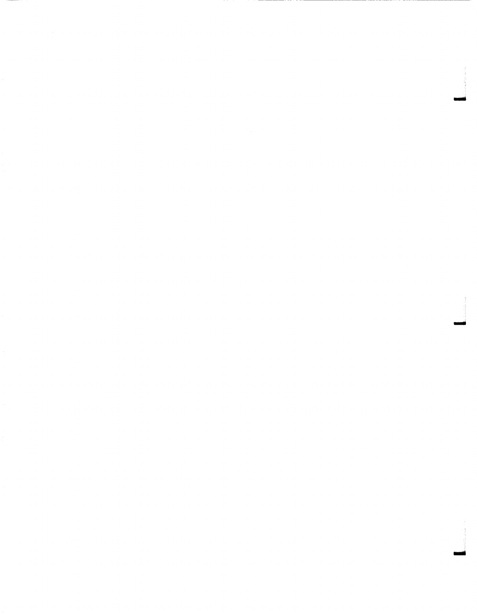